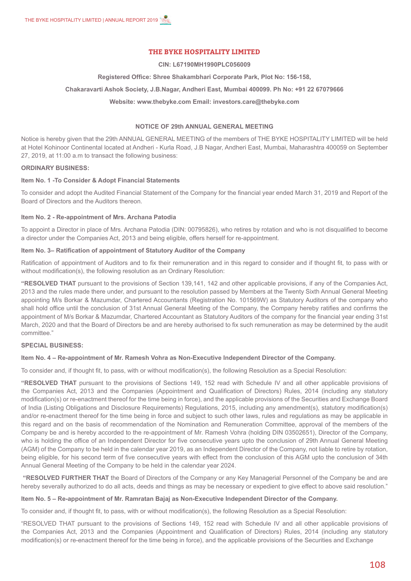# **THE BYKE HOSPITALITY LIMITED**

#### **CIN: L67190MH1990PLC056009**

#### **Registered Office: Shree Shakambhari Corporate Park, Plot No: 156-158,**

## **Chakaravarti Ashok Society, J.B.Nagar, Andheri East, Mumbai 400099. Ph No: +91 22 67079666**

#### **Website: www.thebyke.com Email: investors.care@thebyke.com**

## **NOTICE OF 29th ANNUAL GENERAL MEETING**

Notice is hereby given that the 29th ANNUAL GENERAL MEETING of the members of THE BYKE HOSPITALITY LIMITED will be held at Hotel Kohinoor Continental located at Andheri - Kurla Road, J.B Nagar, Andheri East, Mumbai, Maharashtra 400059 on September 27, 2019, at 11:00 a.m to transact the following business:

#### **ORDINARY BUSINESS:**

## **Item No. 1 -To Consider & Adopt Financial Statements**

To consider and adopt the Audited Financial Statement of the Company for the financial year ended March 31, 2019 and Report of the Board of Directors and the Auditors thereon.

#### **Item No. 2 - Re-appointment of Mrs. Archana Patodia**

To appoint a Director in place of Mrs. Archana Patodia (DIN: 00795826), who retires by rotation and who is not disqualified to become a director under the Companies Act, 2013 and being eligible, offers herself for re-appointment.

## **Item No. 3– Ratification of appointment of Statutory Auditor of the Company**

Ratification of appointment of Auditors and to fix their remuneration and in this regard to consider and if thought fit, to pass with or without modification(s), the following resolution as an Ordinary Resolution:

**"RESOLVED THAT** pursuant to the provisions of Section 139,141, 142 and other applicable provisions, if any of the Companies Act, 2013 and the rules made there under, and pursuant to the resolution passed by Members at the Twenty Sixth Annual General Meeting appointing M/s Borkar & Mazumdar, Chartered Accountants (Registration No. 101569W) as Statutory Auditors of the company who shall hold office until the conclusion of 31st Annual General Meeting of the Company, the Company hereby ratifies and confirms the appointment of M/s Borkar & Mazumdar, Chartered Accountant as Statutory Auditors of the company for the financial year ending 31st March, 2020 and that the Board of Directors be and are hereby authorised to fix such remuneration as may be determined by the audit committee."

## **SPECIAL BUSINESS:**

#### **Item No. 4 – Re-appointment of Mr. Ramesh Vohra as Non-Executive Independent Director of the Company.**

To consider and, if thought fit, to pass, with or without modification(s), the following Resolution as a Special Resolution:

**"RESOLVED THAT** pursuant to the provisions of Sections 149, 152 read with Schedule IV and all other applicable provisions of the Companies Act, 2013 and the Companies (Appointment and Qualification of Directors) Rules, 2014 (including any statutory modification(s) or re-enactment thereof for the time being in force), and the applicable provisions of the Securities and Exchange Board of India (Listing Obligations and Disclosure Requirements) Regulations, 2015, including any amendment(s), statutory modification(s) and/or re-enactment thereof for the time being in force and subject to such other laws, rules and regulations as may be applicable in this regard and on the basis of recommendation of the Nomination and Remuneration Committee, approval of the members of the Company be and is hereby accorded to the re-appointment of Mr. Ramesh Vohra (holding DIN 03502651), Director of the Company, who is holding the office of an Independent Director for five consecutive years upto the conclusion of 29th Annual General Meeting (AGM) of the Company to be held in the calendar year 2019, as an Independent Director of the Company, not liable to retire by rotation, being eligible, for his second term of five consecutive years with effect from the conclusion of this AGM upto the conclusion of 34th Annual General Meeting of the Company to be held in the calendar year 2024.

 **"RESOLVED FURTHER THAT** the Board of Directors of the Company or any Key Managerial Personnel of the Company be and are hereby severally authorized to do all acts, deeds and things as may be necessary or expedient to give effect to above said resolution."

## **Item No. 5 – Re-appointment of Mr. Ramratan Bajaj as Non-Executive Independent Director of the Company.**

To consider and, if thought fit, to pass, with or without modification(s), the following Resolution as a Special Resolution:

"RESOLVED THAT pursuant to the provisions of Sections 149, 152 read with Schedule IV and all other applicable provisions of the Companies Act, 2013 and the Companies (Appointment and Qualification of Directors) Rules, 2014 (including any statutory modification(s) or re-enactment thereof for the time being in force), and the applicable provisions of the Securities and Exchange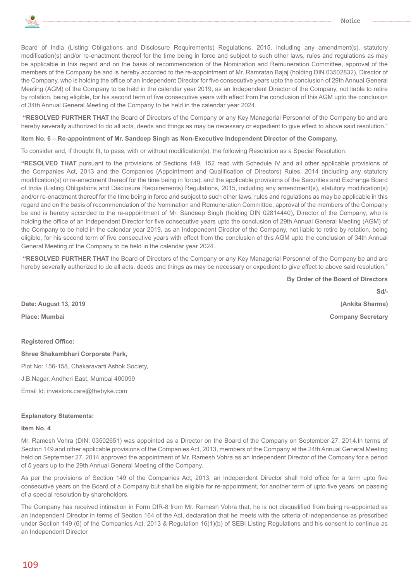

Board of India (Listing Obligations and Disclosure Requirements) Regulations, 2015, including any amendment(s), statutory modification(s) and/or re-enactment thereof for the time being in force and subject to such other laws, rules and regulations as may be applicable in this regard and on the basis of recommendation of the Nomination and Remuneration Committee, approval of the members of the Company be and is hereby accorded to the re-appointment of Mr. Ramratan Bajaj (holding DIN 03502832), Director of the Company, who is holding the office of an Independent Director for five consecutive years upto the conclusion of 29th Annual General Meeting (AGM) of the Company to be held in the calendar year 2019, as an Independent Director of the Company, not liable to retire by rotation, being eligible, for his second term of five consecutive years with effect from the conclusion of this AGM upto the conclusion of 34th Annual General Meeting of the Company to be held in the calendar year 2024.

 **"RESOLVED FURTHER THAT** the Board of Directors of the Company or any Key Managerial Personnel of the Company be and are hereby severally authorized to do all acts, deeds and things as may be necessary or expedient to give effect to above said resolution."

## **Item No. 6 – Re-appointment of Mr. Sandeep Singh as Non-Executive Independent Director of the Company.**

To consider and, if thought fit, to pass, with or without modification(s), the following Resolution as a Special Resolution:

**"RESOLVED THAT** pursuant to the provisions of Sections 149, 152 read with Schedule IV and all other applicable provisions of the Companies Act, 2013 and the Companies (Appointment and Qualification of Directors) Rules, 2014 (including any statutory modification(s) or re-enactment thereof for the time being in force), and the applicable provisions of the Securities and Exchange Board of India (Listing Obligations and Disclosure Requirements) Regulations, 2015, including any amendment(s), statutory modification(s) and/or re-enactment thereof for the time being in force and subject to such other laws, rules and regulations as may be applicable in this regard and on the basis of recommendation of the Nomination and Remuneration Committee, approval of the members of the Company be and is hereby accorded to the re-appointment of Mr. Sandeep Singh (holding DIN 02814440), Director of the Company, who is holding the office of an Independent Director for five consecutive years upto the conclusion of 29th Annual General Meeting (AGM) of the Company to be held in the calendar year 2019, as an Independent Director of the Company, not liable to retire by rotation, being eligible, for his second term of five consecutive years with effect from the conclusion of this AGM upto the conclusion of 34th Annual General Meeting of the Company to be held in the calendar year 2024.

 **"RESOLVED FURTHER THAT** the Board of Directors of the Company or any Key Managerial Personnel of the Company be and are hereby severally authorized to do all acts, deeds and things as may be necessary or expedient to give effect to above said resolution."

**By Order of the Board of Directors**

**Sd/-**

**Date: August 13, 2019 (Ankita Sharma) Place: Mumbai Company Secretary**

## **Registered Office:**

**Shree Shakambhari Corporate Park,**

Plot No: 156-158, Chakaravarti Ashok Society,

J.B.Nagar, Andheri East, Mumbai 400099

Email Id: investors.care@thebyke.com

## **Explanatory Statements:**

## **Item No. 4**

Mr. Ramesh Vohra (DIN: 03502651) was appointed as a Director on the Board of the Company on September 27, 2014.In terms of Section 149 and other applicable provisions of the Companies Act, 2013, members of the Company at the 24th Annual General Meeting held on September 27, 2014 approved the appointment of Mr. Ramesh Vohra as an Independent Director of the Company for a period of 5 years up to the 29th Annual General Meeting of the Company.

As per the provisions of Section 149 of the Companies Act, 2013, an Independent Director shall hold office for a term upto five consecutive years on the Board of a Company but shall be eligible for re-appointment, for another term of upto five years, on passing of a special resolution by shareholders.

The Company has received intimation in Form DIR-8 from Mr. Ramesh Vohra that, he is not disqualified from being re-appointed as an Independent Director in terms of Section 164 of the Act, declaration that he meets with the criteria of independence as prescribed under Section 149 (6) of the Companies Act, 2013 & Regulation 16(1)(b) of SEBI Listing Regulations and his consent to continue as an Independent Director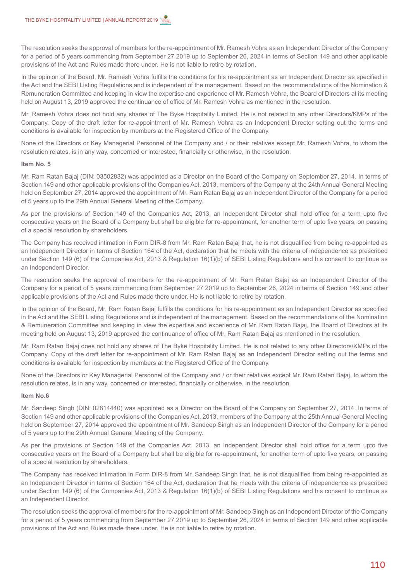The resolution seeks the approval of members for the re-appointment of Mr. Ramesh Vohra as an Independent Director of the Company for a period of 5 years commencing from September 27 2019 up to September 26, 2024 in terms of Section 149 and other applicable provisions of the Act and Rules made there under. He is not liable to retire by rotation.

In the opinion of the Board, Mr. Ramesh Vohra fulfills the conditions for his re-appointment as an Independent Director as specified in the Act and the SEBI Listing Regulations and is independent of the management. Based on the recommendations of the Nomination & Remuneration Committee and keeping in view the expertise and experience of Mr. Ramesh Vohra, the Board of Directors at its meeting held on August 13, 2019 approved the continuance of office of Mr. Ramesh Vohra as mentioned in the resolution.

Mr. Ramesh Vohra does not hold any shares of The Byke Hospitality Limited. He is not related to any other Directors/KMPs of the Company. Copy of the draft letter for re-appointment of Mr. Ramesh Vohra as an Independent Director setting out the terms and conditions is available for inspection by members at the Registered Office of the Company.

None of the Directors or Key Managerial Personnel of the Company and / or their relatives except Mr. Ramesh Vohra, to whom the resolution relates, is in any way, concerned or interested, financially or otherwise, in the resolution.

## **Item No. 5**

Mr. Ram Ratan Bajaj (DIN: 03502832) was appointed as a Director on the Board of the Company on September 27, 2014. In terms of Section 149 and other applicable provisions of the Companies Act, 2013, members of the Company at the 24th Annual General Meeting held on September 27, 2014 approved the appointment of Mr. Ram Ratan Bajaj as an Independent Director of the Company for a period of 5 years up to the 29th Annual General Meeting of the Company.

As per the provisions of Section 149 of the Companies Act, 2013, an Independent Director shall hold office for a term upto five consecutive years on the Board of a Company but shall be eligible for re-appointment, for another term of upto five years, on passing of a special resolution by shareholders.

The Company has received intimation in Form DIR-8 from Mr. Ram Ratan Bajaj that, he is not disqualified from being re-appointed as an Independent Director in terms of Section 164 of the Act, declaration that he meets with the criteria of independence as prescribed under Section 149 (6) of the Companies Act, 2013 & Regulation 16(1)(b) of SEBI Listing Regulations and his consent to continue as an Independent Director.

The resolution seeks the approval of members for the re-appointment of Mr. Ram Ratan Bajaj as an Independent Director of the Company for a period of 5 years commencing from September 27 2019 up to September 26, 2024 in terms of Section 149 and other applicable provisions of the Act and Rules made there under. He is not liable to retire by rotation.

In the opinion of the Board, Mr. Ram Ratan Bajaj fulfills the conditions for his re-appointment as an Independent Director as specified in the Act and the SEBI Listing Regulations and is independent of the management. Based on the recommendations of the Nomination & Remuneration Committee and keeping in view the expertise and experience of Mr. Ram Ratan Bajaj, the Board of Directors at its meeting held on August 13, 2019 approved the continuance of office of Mr. Ram Ratan Bajaj as mentioned in the resolution.

Mr. Ram Ratan Bajaj does not hold any shares of The Byke Hospitality Limited. He is not related to any other Directors/KMPs of the Company. Copy of the draft letter for re-appointment of Mr. Ram Ratan Bajaj as an Independent Director setting out the terms and conditions is available for inspection by members at the Registered Office of the Company.

None of the Directors or Key Managerial Personnel of the Company and / or their relatives except Mr. Ram Ratan Bajaj, to whom the resolution relates, is in any way, concerned or interested, financially or otherwise, in the resolution.

#### **Item No.6**

Mr. Sandeep Singh (DIN: 02814440) was appointed as a Director on the Board of the Company on September 27, 2014. In terms of Section 149 and other applicable provisions of the Companies Act, 2013, members of the Company at the 25th Annual General Meeting held on September 27, 2014 approved the appointment of Mr. Sandeep Singh as an Independent Director of the Company for a period of 5 years up to the 29th Annual General Meeting of the Company.

As per the provisions of Section 149 of the Companies Act, 2013, an Independent Director shall hold office for a term upto five consecutive years on the Board of a Company but shall be eligible for re-appointment, for another term of upto five years, on passing of a special resolution by shareholders.

The Company has received intimation in Form DIR-8 from Mr. Sandeep Singh that, he is not disqualified from being re-appointed as an Independent Director in terms of Section 164 of the Act, declaration that he meets with the criteria of independence as prescribed under Section 149 (6) of the Companies Act, 2013 & Regulation 16(1)(b) of SEBI Listing Regulations and his consent to continue as an Independent Director.

The resolution seeks the approval of members for the re-appointment of Mr. Sandeep Singh as an Independent Director of the Company for a period of 5 years commencing from September 27 2019 up to September 26, 2024 in terms of Section 149 and other applicable provisions of the Act and Rules made there under. He is not liable to retire by rotation.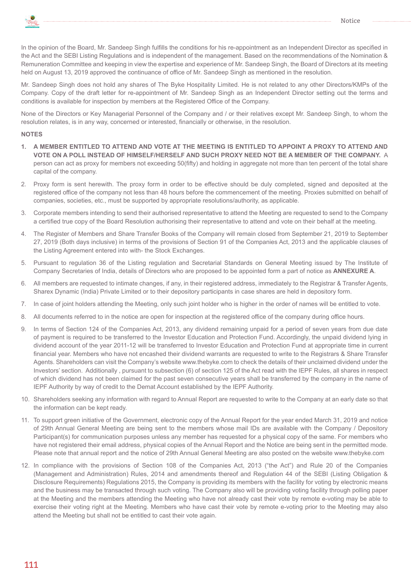

In the opinion of the Board, Mr. Sandeep Singh fulfills the conditions for his re-appointment as an Independent Director as specified in the Act and the SEBI Listing Regulations and is independent of the management. Based on the recommendations of the Nomination & Remuneration Committee and keeping in view the expertise and experience of Mr. Sandeep Singh, the Board of Directors at its meeting held on August 13, 2019 approved the continuance of office of Mr. Sandeep Singh as mentioned in the resolution.

Mr. Sandeep Singh does not hold any shares of The Byke Hospitality Limited. He is not related to any other Directors/KMPs of the Company. Copy of the draft letter for re-appointment of Mr. Sandeep Singh as an Independent Director setting out the terms and conditions is available for inspection by members at the Registered Office of the Company.

None of the Directors or Key Managerial Personnel of the Company and / or their relatives except Mr. Sandeep Singh, to whom the resolution relates, is in any way, concerned or interested, financially or otherwise, in the resolution.

## **NOTES**

- **1. A MEMBER ENTITLED TO ATTEND AND VOTE AT THE MEETING IS ENTITLED TO APPOINT A PROXY TO ATTEND AND VOTE ON A POLL INSTEAD OF HIMSELF/HERSELF AND SUCH PROXY NEED NOT BE A MEMBER OF THE COMPANY.** A person can act as proxy for members not exceeding 50(fifty) and holding in aggregate not more than ten percent of the total share capital of the company.
- 2. Proxy form is sent herewith. The proxy form in order to be effective should be duly completed, signed and deposited at the registered office of the company not less than 48 hours before the commencement of the meeting. Proxies submitted on behalf of companies, societies, etc., must be supported by appropriate resolutions/authority, as applicable.
- 3. Corporate members intending to send their authorised representative to attend the Meeting are requested to send to the Company a certified true copy of the Board Resolution authorising their representative to attend and vote on their behalf at the meeting.
- 4. The Register of Members and Share Transfer Books of the Company will remain closed from September 21, 2019 to September 27, 2019 (Both days inclusive) in terms of the provisions of Section 91 of the Companies Act, 2013 and the applicable clauses of the Listing Agreement entered into with- the Stock Exchanges.
- 5. Pursuant to regulation 36 of the Listing regulation and Secretarial Standards on General Meeting issued by The Institute of Company Secretaries of India, details of Directors who are proposed to be appointed form a part of notice as **ANNEXURE A**.
- 6. All members are requested to intimate changes, if any, in their registered address, immediately to the Registrar & Transfer Agents, Sharex Dynamic (India) Private Limited or to their depository participants in case shares are held in depository form.
- 7. In case of joint holders attending the Meeting, only such joint holder who is higher in the order of names will be entitled to vote.
- 8. All documents referred to in the notice are open for inspection at the registered office of the company during office hours.
- 9. In terms of Section 124 of the Companies Act, 2013, any dividend remaining unpaid for a period of seven years from due date of payment is required to be transferred to the Investor Education and Protection Fund. Accordingly, the unpaid dividend lying in dividend account of the year 2011-12 will be transferred to Investor Education and Protection Fund at appropriate time in current financial year. Members who have not encashed their dividend warrants are requested to write to the Registrars & Share Transfer Agents. Shareholders can visit the Company's website www.thebyke.com to check the details of their unclaimed dividend under the Investors' section. Additionally , pursuant to subsection (6) of section 125 of the Act read with the IEPF Rules, all shares in respect of which dividend has not been claimed for the past seven consecutive years shall be transferred by the company in the name of IEPF Authority by way of credit to the Demat Account established by the IEPF Authority.
- 10. Shareholders seeking any information with regard to Annual Report are requested to write to the Company at an early date so that the information can be kept ready.
- 11. To support green initiative of the Government, electronic copy of the Annual Report for the year ended March 31, 2019 and notice of 29th Annual General Meeting are being sent to the members whose mail IDs are available with the Company / Depository Participant(s) for communication purposes unless any member has requested for a physical copy of the same. For members who have not registered their email address, physical copies of the Annual Report and the Notice are being sent in the permitted mode. Please note that annual report and the notice of 29th Annual General Meeting are also posted on the website www.thebyke.com
- 12. In compliance with the provisions of Section 108 of the Companies Act, 2013 ("the Act") and Rule 20 of the Companies (Management and Administration) Rules, 2014 and amendments thereof and Regulation 44 of the SEBI (Listing Obligation & Disclosure Requirements) Regulations 2015, the Company is providing its members with the facility for voting by electronic means and the business may be transacted through such voting. The Company also will be providing voting facility through polling paper at the Meeting and the members attending the Meeting who have not already cast their vote by remote e-voting may be able to exercise their voting right at the Meeting. Members who have cast their vote by remote e-voting prior to the Meeting may also attend the Meeting but shall not be entitled to cast their vote again.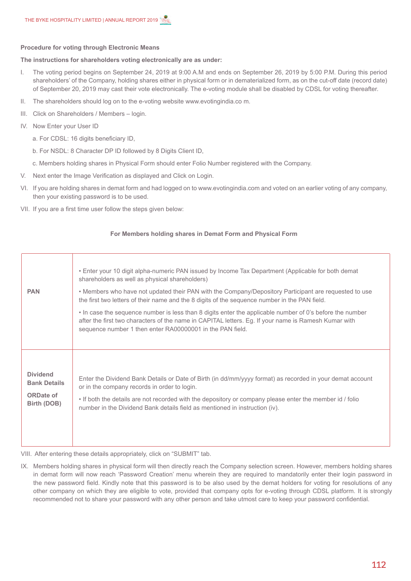## **Procedure for voting through Electronic Means**

#### **The instructions for shareholders voting electronically are as under:**

- I. The voting period begins on September 24, 2019 at 9:00 A.M and ends on September 26, 2019 by 5:00 P.M. During this period shareholders' of the Company, holding shares either in physical form or in dematerialized form, as on the cut-off date (record date) of September 20, 2019 may cast their vote electronically. The e-voting module shall be disabled by CDSL for voting thereafter.
- II. The shareholders should log on to the e-voting website www.evotingindia.co m.
- III. Click on Shareholders / Members login.
- IV. Now Enter your User ID
	- a. For CDSL: 16 digits beneficiary ID,
	- b. For NSDL: 8 Character DP ID followed by 8 Digits Client ID,
	- c. Members holding shares in Physical Form should enter Folio Number registered with the Company.
- V. Next enter the Image Verification as displayed and Click on Login.
- VI. If you are holding shares in demat form and had logged on to www.evotingindia.com and voted on an earlier voting of any company, then your existing password is to be used.
- VII. If you are a first time user follow the steps given below:

## **For Members holding shares in Demat Form and Physical Form**

| <b>PAN</b>          | • Enter your 10 digit alpha-numeric PAN issued by Income Tax Department (Applicable for both demat<br>shareholders as well as physical shareholders)<br>• Members who have not updated their PAN with the Company/Depository Participant are requested to use<br>the first two letters of their name and the 8 digits of the sequence number in the PAN field.<br>. In case the sequence number is less than 8 digits enter the applicable number of 0's before the number<br>after the first two characters of the name in CAPITAL letters. Eg. If your name is Ramesh Kumar with<br>sequence number 1 then enter RA00000001 in the PAN field. |
|---------------------|-------------------------------------------------------------------------------------------------------------------------------------------------------------------------------------------------------------------------------------------------------------------------------------------------------------------------------------------------------------------------------------------------------------------------------------------------------------------------------------------------------------------------------------------------------------------------------------------------------------------------------------------------|
| <b>Dividend</b>     | Enter the Dividend Bank Details or Date of Birth (in dd/mm/yyyy format) as recorded in your demat account                                                                                                                                                                                                                                                                                                                                                                                                                                                                                                                                       |
| <b>Bank Details</b> | or in the company records in order to login.                                                                                                                                                                                                                                                                                                                                                                                                                                                                                                                                                                                                    |
| <b>ORDate of</b>    | • If both the details are not recorded with the depository or company please enter the member id / folio                                                                                                                                                                                                                                                                                                                                                                                                                                                                                                                                        |
| Birth (DOB)         | number in the Dividend Bank details field as mentioned in instruction (iv).                                                                                                                                                                                                                                                                                                                                                                                                                                                                                                                                                                     |

VIII. After entering these details appropriately, click on "SUBMIT" tab.

IX. Members holding shares in physical form will then directly reach the Company selection screen. However, members holding shares in demat form will now reach 'Password Creation' menu wherein they are required to mandatorily enter their login password in the new password field. Kindly note that this password is to be also used by the demat holders for voting for resolutions of any other company on which they are eligible to vote, provided that company opts for e-voting through CDSL platform. It is strongly recommended not to share your password with any other person and take utmost care to keep your password confidential.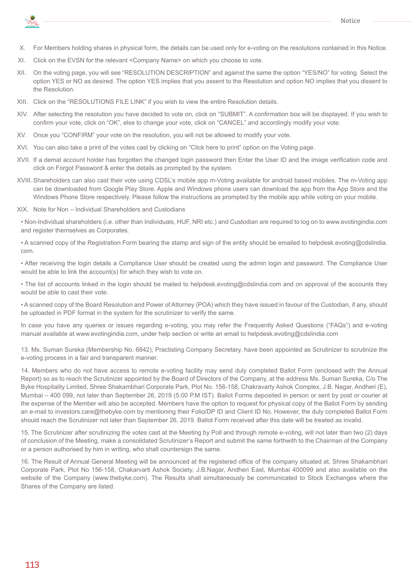

- X. For Members holding shares in physical form, the details can be used only for e-voting on the resolutions contained in this Notice.
- XI. Click on the EVSN for the relevant <Company Name> on which you choose to vote.
- XII. On the voting page, you will see "RESOLUTION DESCRIPTION" and against the same the option "YES/NO" for voting. Select the option YES or NO as desired. The option YES implies that you assent to the Resolution and option NO implies that you dissent to the Resolution.
- XIII. Click on the "RESOLUTIONS FILE LINK" if you wish to view the entire Resolution details.
- XIV. After selecting the resolution you have decided to vote on, click on "SUBMIT". A confirmation box will be displayed. If you wish to confirm your vote, click on "OK", else to change your vote, click on "CANCEL" and accordingly modify your vote.
- XV. Once you "CONFIRM" your vote on the resolution, you will not be allowed to modify your vote.
- XVI. You can also take a print of the votes cast by clicking on "Click here to print" option on the Voting page.
- XVII. If a demat account holder has forgotten the changed login password then Enter the User ID and the image verification code and click on Forgot Password & enter the details as prompted by the system.
- XVIII. Shareholders can also cast their vote using CDSL's mobile app m-Voting available for android based mobiles. The m-Voting app can be downloaded from Google Play Store. Apple and Windows phone users can download the app from the App Store and the Windows Phone Store respectively. Please follow the instructions as prompted by the mobile app while voting on your mobile.
- XIX. Note for Non Individual Shareholders and Custodians

• Non-Individual shareholders (i.e. other than Individuals, HUF, NRI etc.) and Custodian are required to log on to www.evotingindia.com and register themselves as Corporates.

• A scanned copy of the Registration Form bearing the stamp and sign of the entity should be emailed to helpdesk.evoting@cdslindia. com.

• After receiving the login details a Compliance User should be created using the admin login and password. The Compliance User would be able to link the account(s) for which they wish to vote on.

• The list of accounts linked in the login should be mailed to helpdesk.evoting@cdslindia.com and on approval of the accounts they would be able to cast their vote.

• A scanned copy of the Board Resolution and Power of Attorney (POA) which they have issued in favour of the Custodian, if any, should be uploaded in PDF format in the system for the scrutinizer to verify the same.

In case you have any queries or issues regarding e-voting, you may refer the Frequently Asked Questions ("FAQs") and e-voting manual available at www.evotingindia.com, under help section or write an email to helpdesk.evoting@cdslindia.com

13. Ms. Suman Sureka (Membership No. 6842), Practisting Company Secretary, have been appointed as Scrutinizer to scrutinize the e-voting process in a fair and transparent manner.

14. Members who do not have access to remote e-voting facility may send duly completed Ballot Form (enclosed with the Annual Report) so as to reach the Scrutinizer appointed by the Board of Directors of the Company, at the address Ms. Suman Sureka, C/o The Byke Hospitality Limited, Shree Shakambhari Corporate Park, Plot No. 156-158, Chakravarty Ashok Complex, J.B. Nagar, Andheri (E), Mumbai – 400 099, not later than September 26, 2019 (5:00 P.M IST). Ballot Forms deposited in person or sent by post or courier at the expense of the Member will also be accepted. Members have the option to request for physical copy of the Ballot Form by sending an e-mail to investors.care@thebyke.com by mentioning their Folio/DP ID and Client ID No. However, the duly completed Ballot Form should reach the Scrutinizer not later than September 26, 2019. Ballot Form received after this date will be treated as invalid.

15. The Scrutinizer after scrutinizing the votes cast at the Meeting by Poll and through remote e-voting, will not later than two (2) days of conclusion of the Meeting, make a consolidated Scrutinizer's Report and submit the same forthwith to the Chairman of the Company or a person authorised by him in writing, who shall countersign the same.

16. The Result of Annual General Meeting will be announced at the registered office of the company situated at, Shree Shakambhari Corporate Park, Plot No 156-158, Chakarvarti Ashok Society, J.B.Nagar, Andheri East, Mumbai 400099 and also available on the website of the Company (www.thebyke.com). The Results shall simultaneously be communicated to Stock Exchanges where the Shares of the Company are listed.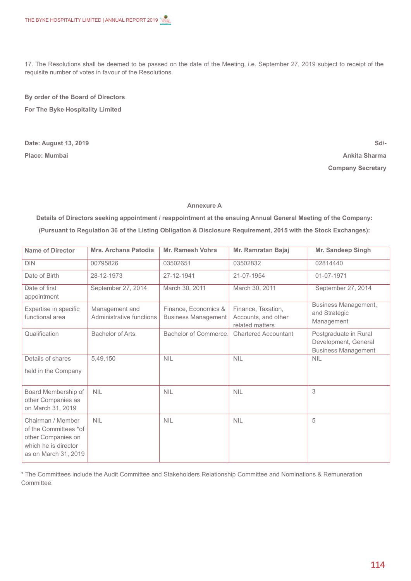17. The Resolutions shall be deemed to be passed on the date of the Meeting, i.e. September 27, 2019 subject to receipt of the requisite number of votes in favour of the Resolutions.

**By order of the Board of Directors For The Byke Hospitality Limited**

**Date: August 13, 2019 Place: Mumbai**

**Sd/- Ankita Sharma Company Secretary**

## **Annexure A**

**Details of Directors seeking appointment / reappointment at the ensuing Annual General Meeting of the Company: (Pursuant to Regulation 36 of the Listing Obligation & Disclosure Requirement, 2015 with the Stock Exchanges):**

| <b>Name of Director</b>                                                                                          | <b>Mrs. Archana Patodia</b>                | Mr. Ramesh Vohra                                   | <b>Mr. Ramratan Bajaj</b>                                    | Mr. Sandeep Singh                                                           |
|------------------------------------------------------------------------------------------------------------------|--------------------------------------------|----------------------------------------------------|--------------------------------------------------------------|-----------------------------------------------------------------------------|
| <b>DIN</b>                                                                                                       | 00795826                                   | 03502651                                           | 03502832                                                     | 02814440                                                                    |
| Date of Birth                                                                                                    | 28-12-1973                                 | 27-12-1941                                         | 21-07-1954                                                   | 01-07-1971                                                                  |
| Date of first<br>appointment                                                                                     | September 27, 2014                         | March 30, 2011                                     | March 30, 2011                                               | September 27, 2014                                                          |
| Expertise in specific<br>functional area                                                                         | Management and<br>Administrative functions | Finance, Economics &<br><b>Business Management</b> | Finance, Taxation,<br>Accounts, and other<br>related matters | <b>Business Management,</b><br>and Strategic<br>Management                  |
| Qualification                                                                                                    | Bachelor of Arts.                          | Bachelor of Commerce.                              | <b>Chartered Accountant</b>                                  | Postgraduate in Rural<br>Development, General<br><b>Business Management</b> |
| Details of shares<br>held in the Company                                                                         | 5,49,150                                   | <b>NIL</b>                                         | <b>NIL</b>                                                   | <b>NIL</b>                                                                  |
| Board Membership of<br>other Companies as<br>on March 31, 2019                                                   | <b>NIL</b>                                 | <b>NIL</b>                                         | <b>NIL</b>                                                   | 3                                                                           |
| Chairman / Member<br>of the Committees *of<br>other Companies on<br>which he is director<br>as on March 31, 2019 | <b>NIL</b>                                 | <b>NIL</b>                                         | <b>NIL</b>                                                   | 5                                                                           |

\* The Committees include the Audit Committee and Stakeholders Relationship Committee and Nominations & Remuneration Committee.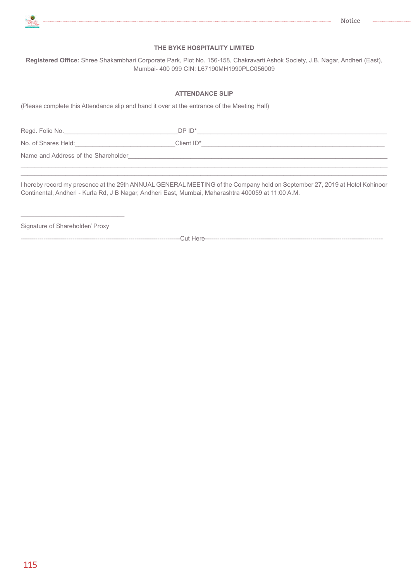

## **THE BYKE HOSPITALITY LIMITED**

**Registered Office:** Shree Shakambhari Corporate Park, Plot No. 156-158, Chakravarti Ashok Society, J.B. Nagar, Andheri (East), Mumbai- 400 099 CIN: L67190MH1990PLC056009

## **ATTENDANCE SLIP**

(Please complete this Attendance slip and hand it over at the entrance of the Meeting Hall)

Regd. Folio No.\_\_\_\_\_\_\_\_\_\_\_\_\_\_\_\_\_\_\_\_\_\_\_\_\_\_\_\_\_\_\_\_\_DP ID\*\_\_\_\_\_\_\_\_\_\_\_\_\_\_\_\_\_\_\_\_\_\_\_\_\_\_\_\_\_\_\_\_\_\_\_\_\_\_\_\_\_\_\_\_\_\_\_\_\_\_\_\_\_\_\_ No. of Shares Held: The Client ID\* Name and Address of the Shareholder  $\_$  ,  $\_$  ,  $\_$  ,  $\_$  ,  $\_$  ,  $\_$  ,  $\_$  ,  $\_$  ,  $\_$  ,  $\_$  ,  $\_$  ,  $\_$  ,  $\_$  ,  $\_$  ,  $\_$  ,  $\_$  ,  $\_$  ,  $\_$  ,  $\_$  ,  $\_$  ,  $\_$  ,  $\_$  ,  $\_$  ,  $\_$  ,  $\_$  ,  $\_$  ,  $\_$  ,  $\_$  ,  $\_$  ,  $\_$  ,  $\_$  ,  $\_$  ,  $\_$  ,  $\_$  ,  $\_$  ,  $\_$  ,  $\_$  ,

I hereby record my presence at the 29th ANNUAL GENERAL MEETING of the Company held on September 27, 2019 at Hotel Kohinoor Continental, Andheri - Kurla Rd, J B Nagar, Andheri East, Mumbai, Maharashtra 400059 at 11:00 A.M.

 $\_$  ,  $\_$  ,  $\_$  ,  $\_$  ,  $\_$  ,  $\_$  ,  $\_$  ,  $\_$  ,  $\_$  ,  $\_$  ,  $\_$  ,  $\_$  ,  $\_$  ,  $\_$  ,  $\_$  ,  $\_$  ,  $\_$  ,  $\_$  ,  $\_$  ,  $\_$  ,  $\_$  ,  $\_$  ,  $\_$  ,  $\_$  ,  $\_$  ,  $\_$  ,  $\_$  ,  $\_$  ,  $\_$  ,  $\_$  ,  $\_$  ,  $\_$  ,  $\_$  ,  $\_$  ,  $\_$  ,  $\_$  ,  $\_$  ,

Signature of Shareholder/ Proxy

\_\_\_\_\_\_\_\_\_\_\_\_\_\_\_\_\_\_\_\_\_\_\_\_\_\_\_\_\_\_

-----------------------------------------------------------------------------Cut Here--------------------------------------------------------------------------------------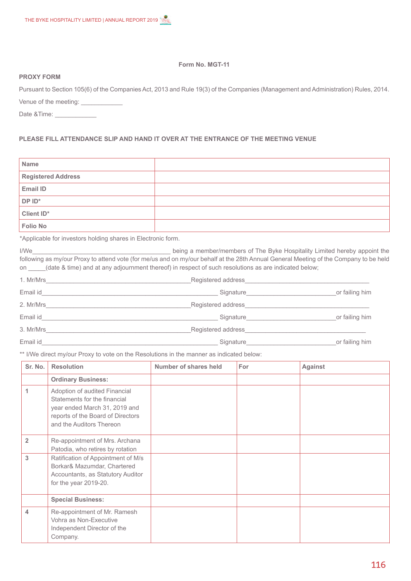## **Form No. MGT-11**

## **PROXY FORM**

Pursuant to Section 105(6) of the Companies Act, 2013 and Rule 19(3) of the Companies (Management and Administration) Rules, 2014. Venue of the meeting:

Date &Time:

# **PLEASE FILL ATTENDANCE SLIP AND HAND IT OVER AT THE ENTRANCE OF THE MEETING VENUE**

| Name                      |  |
|---------------------------|--|
| <b>Registered Address</b> |  |
| <b>Email ID</b>           |  |
| DP ID*                    |  |
| Client ID*                |  |
| <b>Folio No</b>           |  |

\*Applicable for investors holding shares in Electronic form.

I/We\_\_\_\_\_\_\_\_\_\_\_\_\_\_\_\_\_\_\_\_\_\_\_\_\_\_\_\_\_\_\_\_\_\_\_\_\_\_\_\_ being a member/members of The Byke Hospitality Limited hereby appoint the following as my/our Proxy to attend vote (for me/us and on my/our behalf at the 28th Annual General Meeting of the Company to be held on  $\qquad$  (date & time) and at any adjournment thereof) in respect of such resolutions as are indicated below;

| 1. Mr/Mrs | Registered address                           |                |
|-----------|----------------------------------------------|----------------|
| Email id  | Signature Signature Signature Communications | or failing him |
| 2. Mr/Mrs | Registered address                           |                |
| Email id  | Signature                                    | or failing him |
| 3. Mr/Mrs | Registered address                           |                |
| Email id  | Signature                                    | or failing him |

\*\* I/We direct my/our Proxy to vote on the Resolutions in the manner as indicated below:

| Sr. No.        | <b>Resolution</b>                                                                                                                                               | Number of shares held | <b>For</b> | <b>Against</b> |
|----------------|-----------------------------------------------------------------------------------------------------------------------------------------------------------------|-----------------------|------------|----------------|
|                | <b>Ordinary Business:</b>                                                                                                                                       |                       |            |                |
| 1              | Adoption of audited Financial<br>Statements for the financial<br>year ended March 31, 2019 and<br>reports of the Board of Directors<br>and the Auditors Thereon |                       |            |                |
| $\overline{2}$ | Re-appointment of Mrs. Archana<br>Patodia, who retires by rotation                                                                                              |                       |            |                |
| 3              | Ratification of Appointment of M/s<br>Borkar& Mazumdar, Chartered<br>Accountants, as Statutory Auditor<br>for the year 2019-20.                                 |                       |            |                |
|                | <b>Special Business:</b>                                                                                                                                        |                       |            |                |
| 4              | Re-appointment of Mr. Ramesh<br>Vohra as Non-Executive<br>Independent Director of the<br>Company.                                                               |                       |            |                |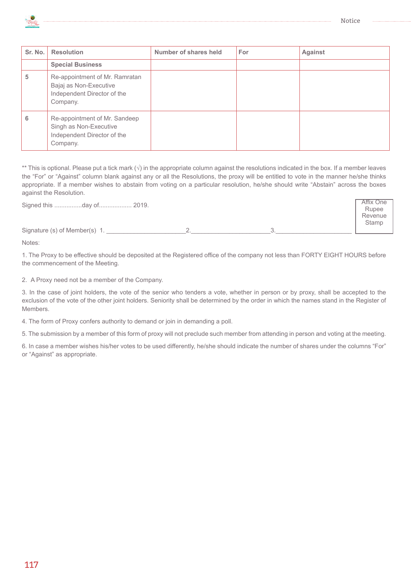

Affix One Rupee Revenue Stamp



| Sr. No. | <b>Resolution</b>                                                                                   | Number of shares held | For | <b>Against</b> |
|---------|-----------------------------------------------------------------------------------------------------|-----------------------|-----|----------------|
|         | <b>Special Business</b>                                                                             |                       |     |                |
| 5       | Re-appointment of Mr. Ramratan<br>Bajaj as Non-Executive<br>Independent Director of the<br>Company. |                       |     |                |
| 6       | Re-appointment of Mr. Sandeep<br>Singh as Non-Executive<br>Independent Director of the<br>Company.  |                       |     |                |

\*\* This is optional. Please put a tick mark (√) in the appropriate column against the resolutions indicated in the box. If a member leaves the "For" or "Against" column blank against any or all the Resolutions, the proxy will be entitled to vote in the manner he/she thinks appropriate. If a member wishes to abstain from voting on a particular resolution, he/she should write "Abstain" across the boxes against the Resolution.

Signed this ................day of................... 2019.

Signature (s) of Member(s) 1.  $\qquad \qquad$  2.  $\qquad \qquad$  3

Notes:

1. The Proxy to be effective should be deposited at the Registered office of the company not less than FORTY EIGHT HOURS before the commencement of the Meeting.

2. A Proxy need not be a member of the Company.

3. In the case of joint holders, the vote of the senior who tenders a vote, whether in person or by proxy, shall be accepted to the exclusion of the vote of the other joint holders. Seniority shall be determined by the order in which the names stand in the Register of Members.

4. The form of Proxy confers authority to demand or join in demanding a poll.

5. The submission by a member of this form of proxy will not preclude such member from attending in person and voting at the meeting.

6. In case a member wishes his/her votes to be used differently, he/she should indicate the number of shares under the columns "For" or "Against" as appropriate.